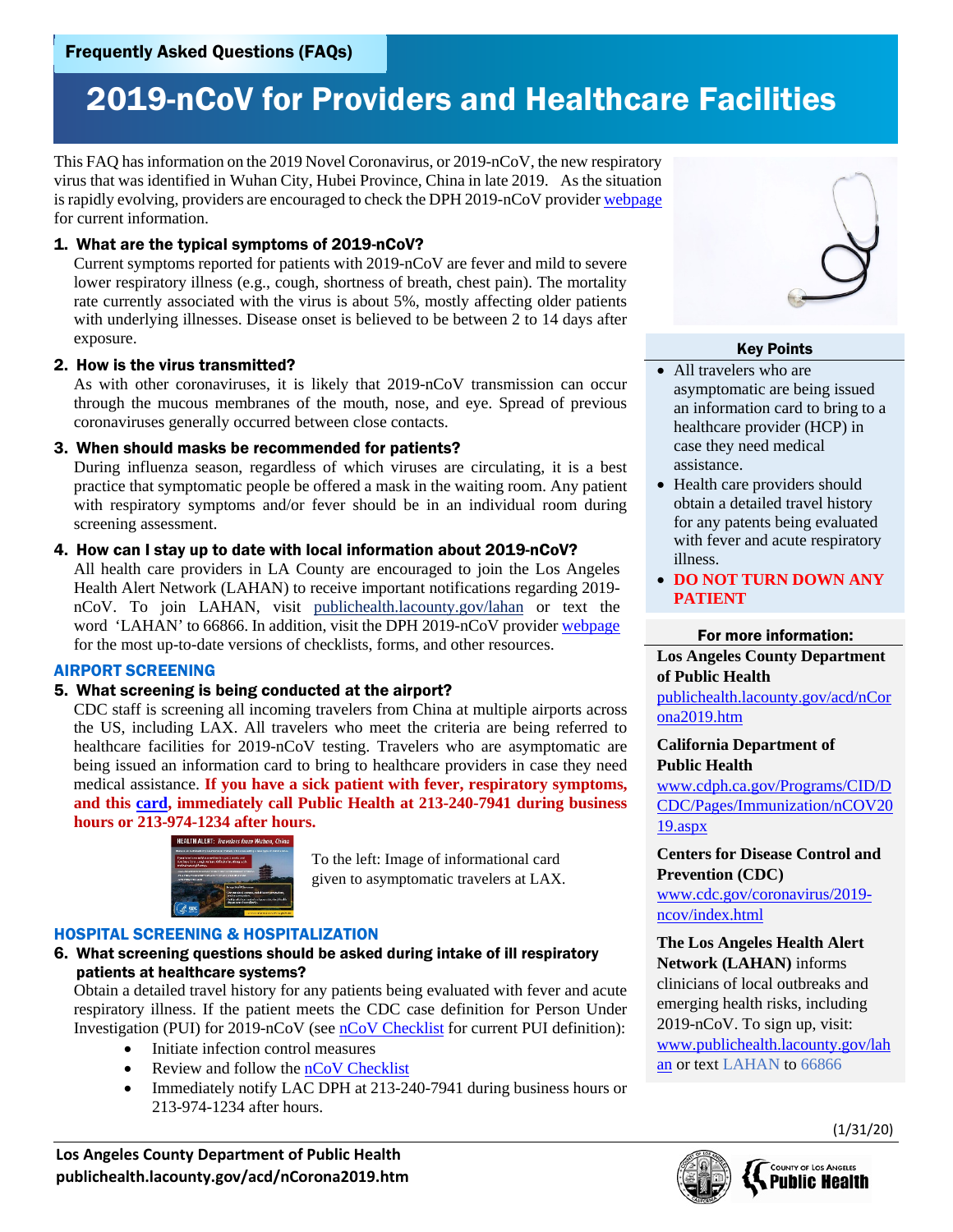# 2019-nCoV for Providers and Healthcare Facilities

This FAQ has information on the 2019 Novel Coronavirus, or 2019-nCoV, the new respiratory virus that was identified in Wuhan City, Hubei Province, China in late 2019. As the situation is rapidly evolving, providers are encouraged to check the DPH 2019-nCoV provide[r webpage](http://publichealth.lacounty.gov/acd/nCorona2019.htm) for current information.

# 1. What are the typical symptoms of 2019-nCoV?

Current symptoms reported for patients with 2019-nCoV are fever and mild to severe lower respiratory illness (e.g., cough, shortness of breath, chest pain). The mortality rate currently associated with the virus is about 5%, mostly affecting older patients with underlying illnesses. Disease onset is believed to be between 2 to 14 days after exposure.

#### 2. How is the virus transmitted?

As with other coronaviruses, it is likely that 2019-nCoV transmission can occur through the mucous membranes of the mouth, nose, and eye. Spread of previous coronaviruses generally occurred between close contacts.

# 3. When should masks be recommended for patients?

During influenza season, regardless of which viruses are circulating, it is a best practice that symptomatic people be offered a mask in the waiting room. Any patient with respiratory symptoms and/or fever should be in an individual room during screening assessment.

# 4. How can I stay up to date with local information about 2019-nCoV?

All health care providers in LA County are encouraged to join the Los Angeles Health Alert Network (LAHAN) to receive important notifications regarding 2019 nCoV. To join LAHAN, visit [publichealth.lacounty.gov/lahan](http://www.publichealth.lacounty.gov/profess.htm) or text the word 'LAHAN' to 66866. In addition, visit the DPH 2019-nCoV provider [webpage](http://publichealth.lacounty.gov/acd/nCorona2019.htm) for the most up-to-date versions of checklists, forms, and other resources.

# AIRPORT SCREENING

# 5. What screening is being conducted at the airport?

CDC staff is screening all incoming travelers from China at multiple airports across the US, including LAX. All travelers who meet the criteria are being referred to healthcare facilities for 2019-nCoV testing. Travelers who are asymptomatic are being issued an information card to bring to healthcare providers in case they need medical assistance. **If you have a sick patient with fever, respiratory symptoms, and this [card,](http://publichealth.lacounty.gov/acd/docs/nCoVinfoCardColor.pdf) immediately call Public Health at 213-240-7941 during business hours or 213-974-1234 after hours.**



To the left: Image of informational card given to asymptomatic travelers at LAX.

# HOSPITAL SCREENING & HOSPITALIZATION

# 6. What screening questions should be asked during intake of ill respiratory patients at healthcare systems?

Obtain a detailed travel history for any patients being evaluated with fever and acute respiratory illness. If the patient meets the CDC case definition for Person Under Investigation (PUI) for 2019-nCoV (see [nCoV Checklist](http://publichealth.lacounty.gov/acd/docs/nCoVChecklist.pdf) for current PUI definition):

- Initiate infection control measures
- Review and follow th[e nCoV Checklist](http://publichealth.lacounty.gov/acd/docs/nCoVChecklist.pdf)
- Immediately notify LAC DPH at 213-240-7941 during business hours or 213-974-1234 after hours.



# Key Points

- All travelers who are asymptomatic are being issued an information card to bring to a healthcare provider (HCP) in case they need medical assistance.
- Health care providers should obtain a detailed travel history for any patents being evaluated with fever and acute respiratory illness.
- **DO NOT TURN DOWN ANY PATIENT**

# For more information:

**Los Angeles County Department of Public Health**

[publichealth.lacounty.gov/acd/nCor](http://publichealth.lacounty.gov/acd/nCorona2019.htm) [ona2019.htm](http://publichealth.lacounty.gov/acd/nCorona2019.htm)

# **California Department of Public Health**

www.cdph.ca.gov/Programs/CID/D CDC/Pages/Immunization/nCOV20 19.aspx

**Centers for Disease Control and Prevention (CDC)** 

[www.cdc.gov/coronavirus/2019](http://www.cdc.gov/coronavirus/2019-ncov/index.html) [ncov/index.html](http://www.cdc.gov/coronavirus/2019-ncov/index.html)

#### **The Los Angeles Health Alert Network (LAHAN)** informs clinicians of local outbreaks and emerging health risks, including 2019-nCoV. To sign up, visit: [www.publichealth.lacounty.gov/lah](http://www.publichealth.lacounty.gov/lahan)

[an](http://www.publichealth.lacounty.gov/lahan) or text LAHAN to 66866